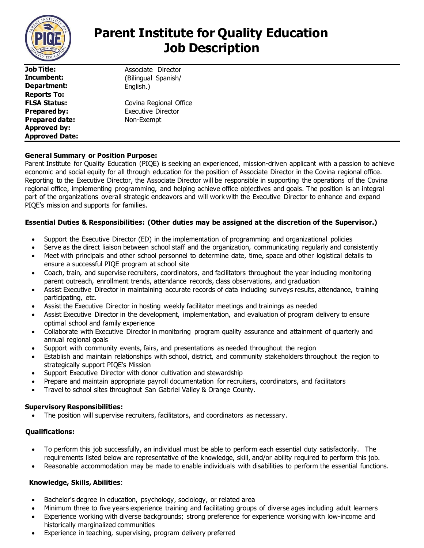

**Job Title: Incumbent: Department: Reports To: FLSA Status: Prepared by: Prepared date: Approved by: Approved Date:**

Associate Director (Bilingual Spanish/ English.) Covina Regional Office Executive Director Non-Exempt

# **General Summary or Position Purpose:**

Parent Institute for Quality Education (PIQE) is seeking an experienced, mission-driven applicant with a passion to achieve economic and social equity for all through education for the position of Associate Director in the Covina regional office. Reporting to the Executive Director, the Associate Director will be responsible in supporting the operations of the Covina regional office, implementing programming, and helping achieve office objectives and goals. The position is an integral part of the organizations overall strategic endeavors and will work with the Executive Director to enhance and expand PIQE's mission and supports for families.

## **Essential Duties & Responsibilities: (Other duties may be assigned at the discretion of the Supervisor.)**

- Support the Executive Director (ED) in the implementation of programming and organizational policies
- Serve as the direct liaison between school staff and the organization, communicating regularly and consistently
- Meet with principals and other school personnel to determine date, time, space and other logistical details to ensure a successful PIQE program at school site
- Coach, train, and supervise recruiters, coordinators, and facilitators throughout the year including monitoring parent outreach, enrollment trends, attendance records, class observations, and graduation
- Assist Executive Director in maintaining accurate records of data including surveys results, attendance, training participating, etc.
- Assist the Executive Director in hosting weekly facilitator meetings and trainings as needed
- Assist Executive Director in the development, implementation, and evaluation of program delivery to ensure optimal school and family experience
- Collaborate with Executive Director in monitoring program quality assurance and attainment of quarterly and annual regional goals
- Support with community events, fairs, and presentations as needed throughout the region
- Establish and maintain relationships with school, district, and community stakeholders throughout the region to strategically support PIQE's Mission
- Support Executive Director with donor cultivation and stewardship
- Prepare and maintain appropriate payroll documentation for recruiters, coordinators, and facilitators
- Travel to school sites throughout San Gabriel Valley & Orange County.

### **Supervisory Responsibilities:**

• The position will supervise recruiters, facilitators, and coordinators as necessary.

### **Qualifications:**

- To perform this job successfully, an individual must be able to perform each essential duty satisfactorily. The requirements listed below are representative of the knowledge, skill, and/or ability required to perform this job.
- Reasonable accommodation may be made to enable individuals with disabilities to perform the essential functions.

### **Knowledge, Skills, Abilities**:

- Bachelor's degree in education, psychology, sociology, or related area
- Minimum three to five years experience training and facilitating groups of diverse ages including adult learners
- Experience working with diverse backgrounds; strong preference for experience working with low-income and historically marginalized communities
- Experience in teaching, supervising, program delivery preferred